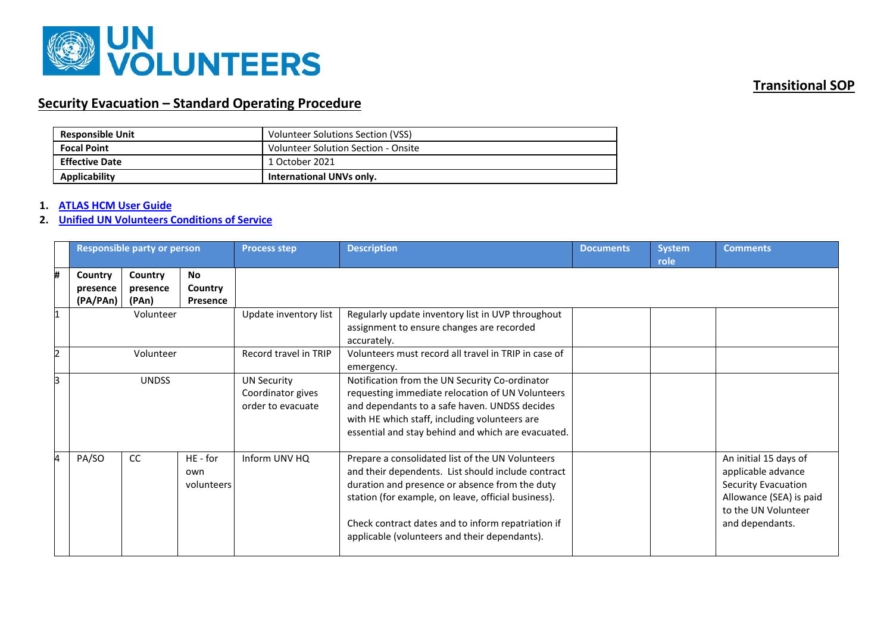

# **Security Evacuation – Standard Operating Procedure**

| <b>Responsible Unit</b> | Volunteer Solutions Section (VSS)   |
|-------------------------|-------------------------------------|
| <b>Focal Point</b>      | Volunteer Solution Section - Onsite |
| <b>Effective Date</b>   | 1 October 2021                      |
| Applicability           | <b>International UNVs only.</b>     |

### **1. [ATLAS HCM User Guide](https://undp.sharepoint.com/:w:/s/UNVknowledgeMng/EYG1C4FsUpBJrzbZd29etKsBRH33qNi5q0WulX7J3iHNYw?e=Og6jVR)**

#### **2. [Unified UN Volunteers Conditions of Service](https://www.unv.org/sites/default/files/unvpf/UNVcos2021%20Complete%20hi-res-final_compressed_30.08.2021.pdf)**

|   | <b>Responsible party or person</b> |                              |                                  | <b>Process step</b>                                          | <b>Description</b>                                                                                                                                                                                                                                                                                                     | <b>Documents</b> | <b>System</b><br>role | <b>Comments</b>                                                                                                                         |
|---|------------------------------------|------------------------------|----------------------------------|--------------------------------------------------------------|------------------------------------------------------------------------------------------------------------------------------------------------------------------------------------------------------------------------------------------------------------------------------------------------------------------------|------------------|-----------------------|-----------------------------------------------------------------------------------------------------------------------------------------|
| # | Country<br>presence<br>(PA/PAn)    | Country<br>presence<br>(PAn) | <b>No</b><br>Country<br>Presence |                                                              |                                                                                                                                                                                                                                                                                                                        |                  |                       |                                                                                                                                         |
|   | Volunteer                          |                              |                                  | Update inventory list                                        | Regularly update inventory list in UVP throughout<br>assignment to ensure changes are recorded<br>accurately.                                                                                                                                                                                                          |                  |                       |                                                                                                                                         |
|   | Volunteer                          |                              |                                  | Record travel in TRIP                                        | Volunteers must record all travel in TRIP in case of<br>emergency.                                                                                                                                                                                                                                                     |                  |                       |                                                                                                                                         |
| 3 | <b>UNDSS</b>                       |                              |                                  | <b>UN Security</b><br>Coordinator gives<br>order to evacuate | Notification from the UN Security Co-ordinator<br>requesting immediate relocation of UN Volunteers<br>and dependants to a safe haven. UNDSS decides<br>with HE which staff, including volunteers are<br>essential and stay behind and which are evacuated.                                                             |                  |                       |                                                                                                                                         |
| 4 | PA/SO                              | CC                           | HE - for<br>own<br>volunteers    | Inform UNV HQ                                                | Prepare a consolidated list of the UN Volunteers<br>and their dependents. List should include contract<br>duration and presence or absence from the duty<br>station (for example, on leave, official business).<br>Check contract dates and to inform repatriation if<br>applicable (volunteers and their dependants). |                  |                       | An initial 15 days of<br>applicable advance<br>Security Evacuation<br>Allowance (SEA) is paid<br>to the UN Volunteer<br>and dependants. |

## **Transitional SOP**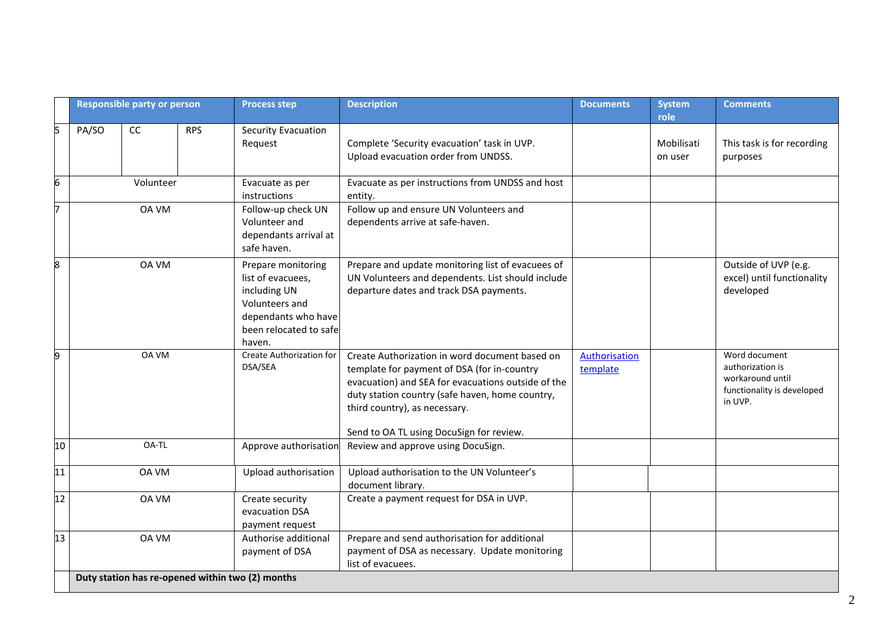|    | <b>Responsible party or person</b> |              |            | <b>Process step</b>                                                                                                                   | <b>Description</b>                                                                                                                                                                                                                                                                  | <b>Documents</b>          | System<br>role        | <b>Comments</b>                                                                                |
|----|------------------------------------|--------------|------------|---------------------------------------------------------------------------------------------------------------------------------------|-------------------------------------------------------------------------------------------------------------------------------------------------------------------------------------------------------------------------------------------------------------------------------------|---------------------------|-----------------------|------------------------------------------------------------------------------------------------|
| 5  | PA/SO                              | CC           | <b>RPS</b> | Security Evacuation<br>Request                                                                                                        | Complete 'Security evacuation' task in UVP.<br>Upload evacuation order from UNDSS.                                                                                                                                                                                                  |                           | Mobilisati<br>on user | This task is for recording<br>purposes                                                         |
| 6  | Volunteer                          |              |            | Evacuate as per<br>instructions                                                                                                       | Evacuate as per instructions from UNDSS and host<br>entity.                                                                                                                                                                                                                         |                           |                       |                                                                                                |
| 7  | <b>OA VM</b>                       |              |            | Follow-up check UN<br>Volunteer and<br>dependants arrival at<br>safe haven.                                                           | Follow up and ensure UN Volunteers and<br>dependents arrive at safe-haven.                                                                                                                                                                                                          |                           |                       |                                                                                                |
| 8  | <b>OA VM</b>                       |              |            | Prepare monitoring<br>list of evacuees,<br>including UN<br>Volunteers and<br>dependants who have<br>been relocated to safel<br>haven. | Prepare and update monitoring list of evacuees of<br>UN Volunteers and dependents. List should include<br>departure dates and track DSA payments.                                                                                                                                   |                           |                       | Outside of UVP (e.g.<br>excel) until functionality<br>developed                                |
| 9  |                                    | OA VM        |            | Create Authorization for<br>DSA/SEA                                                                                                   | Create Authorization in word document based on<br>template for payment of DSA (for in-country<br>evacuation) and SEA for evacuations outside of the<br>duty station country (safe haven, home country,<br>third country), as necessary.<br>Send to OA TL using DocuSign for review. | Authorisation<br>template |                       | Word document<br>authorization is<br>workaround until<br>functionality is developed<br>in UVP. |
| 10 |                                    | OA-TL        |            | Approve authorisation                                                                                                                 | Review and approve using DocuSign.                                                                                                                                                                                                                                                  |                           |                       |                                                                                                |
| 11 |                                    | OA VM        |            | Upload authorisation                                                                                                                  | Upload authorisation to the UN Volunteer's<br>document library.                                                                                                                                                                                                                     |                           |                       |                                                                                                |
| 12 | <b>OA VM</b>                       |              |            | Create security<br>evacuation DSA<br>payment request                                                                                  | Create a payment request for DSA in UVP.                                                                                                                                                                                                                                            |                           |                       |                                                                                                |
| 13 |                                    | <b>OA VM</b> |            | Authorise additional<br>payment of DSA<br>Duty station has re-opened within two (2) months                                            | Prepare and send authorisation for additional<br>payment of DSA as necessary. Update monitoring<br>list of evacuees.                                                                                                                                                                |                           |                       |                                                                                                |